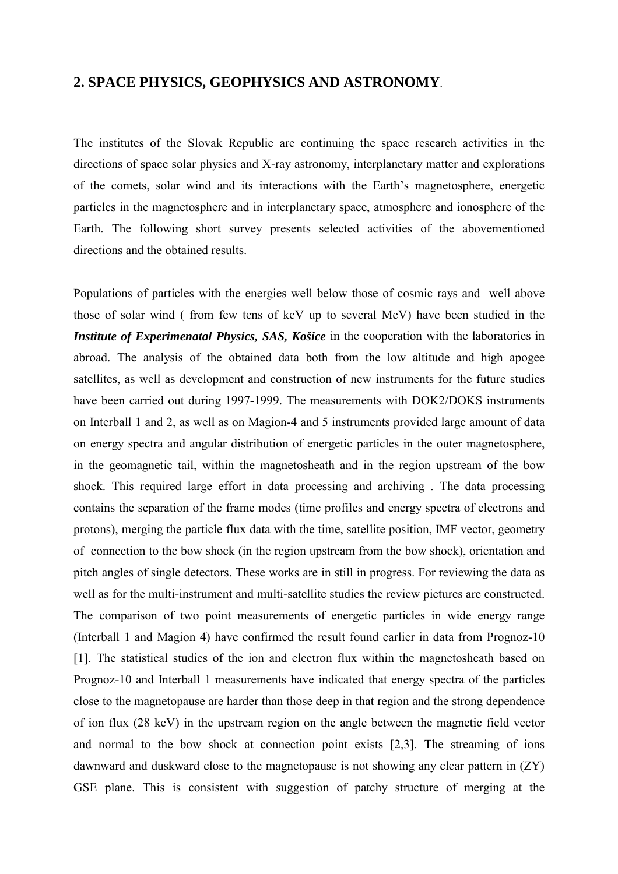## **2. SPACE PHYSICS, GEOPHYSICS AND ASTRONOMY**.

The institutes of the Slovak Republic are continuing the space research activities in the directions of space solar physics and X-ray astronomy, interplanetary matter and explorations of the comets, solar wind and its interactions with the Earth's magnetosphere, energetic particles in the magnetosphere and in interplanetary space, atmosphere and ionosphere of the Earth. The following short survey presents selected activities of the abovementioned directions and the obtained results.

Populations of particles with the energies well below those of cosmic rays and well above those of solar wind ( from few tens of keV up to several MeV) have been studied in the *Institute of Experimenatal Physics, SAS, Košice* in the cooperation with the laboratories in abroad. The analysis of the obtained data both from the low altitude and high apogee satellites, as well as development and construction of new instruments for the future studies have been carried out during 1997-1999. The measurements with DOK2/DOKS instruments on Interball 1 and 2, as well as on Magion-4 and 5 instruments provided large amount of data on energy spectra and angular distribution of energetic particles in the outer magnetosphere, in the geomagnetic tail, within the magnetosheath and in the region upstream of the bow shock. This required large effort in data processing and archiving . The data processing contains the separation of the frame modes (time profiles and energy spectra of electrons and protons), merging the particle flux data with the time, satellite position, IMF vector, geometry of connection to the bow shock (in the region upstream from the bow shock), orientation and pitch angles of single detectors. These works are in still in progress. For reviewing the data as well as for the multi-instrument and multi-satellite studies the review pictures are constructed. The comparison of two point measurements of energetic particles in wide energy range (Interball 1 and Magion 4) have confirmed the result found earlier in data from Prognoz-10 [1]. The statistical studies of the ion and electron flux within the magnetosheath based on Prognoz-10 and Interball 1 measurements have indicated that energy spectra of the particles close to the magnetopause are harder than those deep in that region and the strong dependence of ion flux (28 keV) in the upstream region on the angle between the magnetic field vector and normal to the bow shock at connection point exists [2,3]. The streaming of ions dawnward and duskward close to the magnetopause is not showing any clear pattern in (ZY) GSE plane. This is consistent with suggestion of patchy structure of merging at the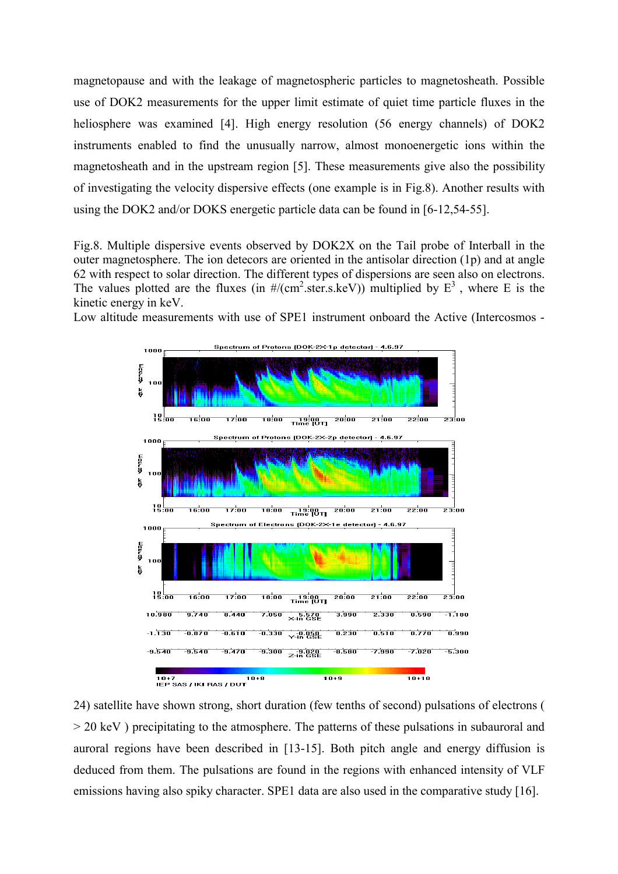magnetopause and with the leakage of magnetospheric particles to magnetosheath. Possible use of DOK2 measurements for the upper limit estimate of quiet time particle fluxes in the heliosphere was examined [4]. High energy resolution (56 energy channels) of DOK2 instruments enabled to find the unusually narrow, almost monoenergetic ions within the magnetosheath and in the upstream region [5]. These measurements give also the possibility of investigating the velocity dispersive effects (one example is in Fig.8). Another results with using the DOK2 and/or DOKS energetic particle data can be found in [6-12,54-55].

Fig.8. Multiple dispersive events observed by DOK2X on the Tail probe of Interball in the outer magnetosphere. The ion detecors are oriented in the antisolar direction (1p) and at angle 62 with respect to solar direction. The different types of dispersions are seen also on electrons. The values plotted are the fluxes (in  $\frac{\#}{\text{cm}^2\text{.ster.s.}}$ keV)) multiplied by  $E^3$ , where E is the kinetic energy in keV.

Low altitude measurements with use of SPE1 instrument onboard the Active (Intercosmos -



24) satellite have shown strong, short duration (few tenths of second) pulsations of electrons ( > 20 keV ) precipitating to the atmosphere. The patterns of these pulsations in subauroral and auroral regions have been described in [13-15]. Both pitch angle and energy diffusion is deduced from them. The pulsations are found in the regions with enhanced intensity of VLF emissions having also spiky character. SPE1 data are also used in the comparative study [16].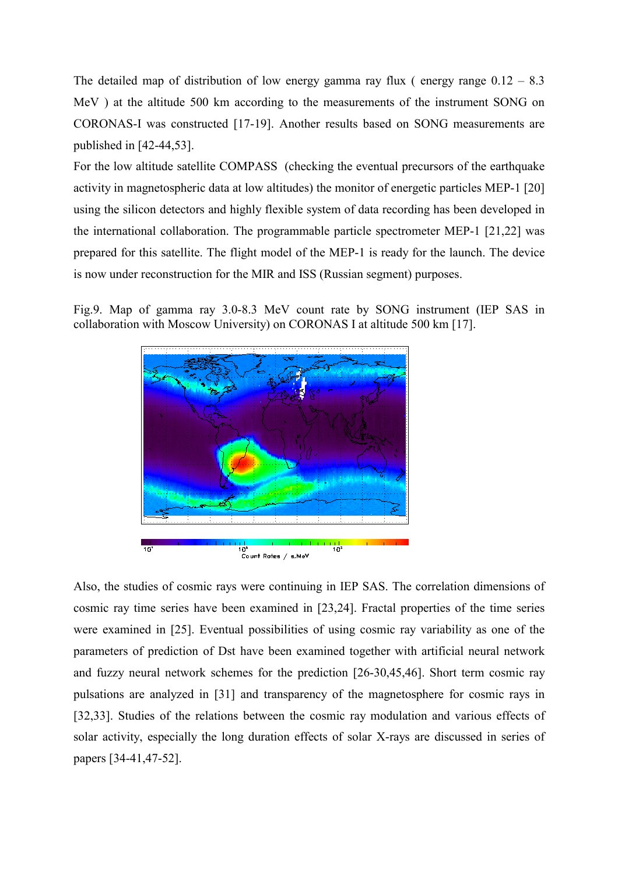The detailed map of distribution of low energy gamma ray flux (energy range  $0.12 - 8.3$ ) MeV ) at the altitude 500 km according to the measurements of the instrument SONG on CORONAS-I was constructed [17-19]. Another results based on SONG measurements are published in [42-44,53].

For the low altitude satellite COMPASS (checking the eventual precursors of the earthquake activity in magnetospheric data at low altitudes) the monitor of energetic particles MEP-1 [20] using the silicon detectors and highly flexible system of data recording has been developed in the international collaboration. The programmable particle spectrometer MEP-1 [21,22] was prepared for this satellite. The flight model of the MEP-1 is ready for the launch. The device is now under reconstruction for the MIR and ISS (Russian segment) purposes.

Fig.9. Map of gamma ray 3.0-8.3 MeV count rate by SONG instrument (IEP SAS in collaboration with Moscow University) on CORONAS I at altitude 500 km [17].



Also, the studies of cosmic rays were continuing in IEP SAS. The correlation dimensions of cosmic ray time series have been examined in [23,24]. Fractal properties of the time series were examined in [25]. Eventual possibilities of using cosmic ray variability as one of the parameters of prediction of Dst have been examined together with artificial neural network and fuzzy neural network schemes for the prediction [26-30,45,46]. Short term cosmic ray pulsations are analyzed in [31] and transparency of the magnetosphere for cosmic rays in [32,33]. Studies of the relations between the cosmic ray modulation and various effects of solar activity, especially the long duration effects of solar X-rays are discussed in series of papers [34-41,47-52].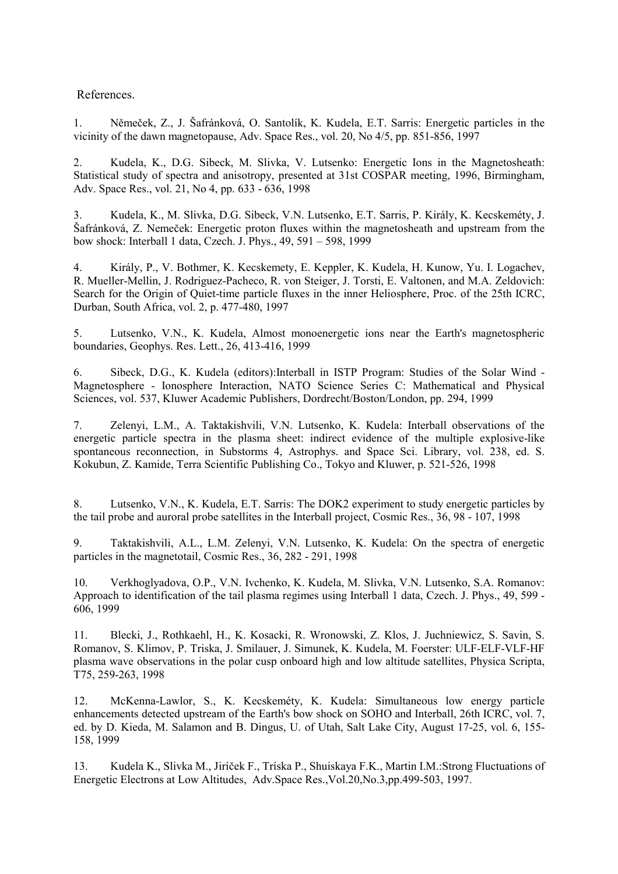## References.

1. Němeček, Z., J. Šafránková, O. Santolík, K. Kudela, E.T. Sarris: Energetic particles in the vicinity of the dawn magnetopause, Adv. Space Res., vol. 20, No 4/5, pp. 851-856, 1997

2. Kudela, K., D.G. Sibeck, M. Slivka, V. Lutsenko: Energetic Ions in the Magnetosheath: Statistical study of spectra and anisotropy, presented at 31st COSPAR meeting, 1996, Birmingham, Adv. Space Res., vol. 21, No 4, pp. 633 - 636, 1998

3. Kudela, K., M. Slivka, D.G. Sibeck, V.N. Lutsenko, E.T. Sarris, P. Király, K. Kecskeméty, J. Šafránková, Z. Nemeček: Energetic proton fluxes within the magnetosheath and upstream from the bow shock: Interball 1 data, Czech. J. Phys., 49, 591 – 598, 1999

4. Király, P., V. Bothmer, K. Kecskemety, E. Keppler, K. Kudela, H. Kunow, Yu. I. Logachev, R. Mueller-Mellin, J. Rodriguez-Pacheco, R. von Steiger, J. Torsti, E. Valtonen, and M.A. Zeldovich: Search for the Origin of Quiet-time particle fluxes in the inner Heliosphere, Proc. of the 25th ICRC, Durban, South Africa, vol. 2, p. 477-480, 1997

5. Lutsenko, V.N., K. Kudela, Almost monoenergetic ions near the Earth's magnetospheric boundaries, Geophys. Res. Lett., 26, 413-416, 1999

6. Sibeck, D.G., K. Kudela (editors):Interball in ISTP Program: Studies of the Solar Wind - Magnetosphere - Ionosphere Interaction, NATO Science Series C: Mathematical and Physical Sciences, vol. 537, Kluwer Academic Publishers, Dordrecht/Boston/London, pp. 294, 1999

7. Zelenyi, L.M., A. Taktakishvili, V.N. Lutsenko, K. Kudela: Interball observations of the energetic particle spectra in the plasma sheet: indirect evidence of the multiple explosive-like spontaneous reconnection, in Substorms 4, Astrophys. and Space Sci. Library, vol. 238, ed. S. Kokubun, Z. Kamide, Terra Scientific Publishing Co., Tokyo and Kluwer, p. 521-526, 1998

8. Lutsenko, V.N., K. Kudela, E.T. Sarris: The DOK2 experiment to study energetic particles by the tail probe and auroral probe satellites in the Interball project, Cosmic Res., 36, 98 - 107, 1998

9. Taktakishvili, A.L., L.M. Zelenyi, V.N. Lutsenko, K. Kudela: On the spectra of energetic particles in the magnetotail, Cosmic Res., 36, 282 - 291, 1998

10. Verkhoglyadova, O.P., V.N. Ivchenko, K. Kudela, M. Slivka, V.N. Lutsenko, S.A. Romanov: Approach to identification of the tail plasma regimes using Interball 1 data, Czech. J. Phys., 49, 599 - 606, 1999

11. Blecki, J., Rothkaehl, H., K. Kosacki, R. Wronowski, Z. Klos, J. Juchniewicz, S. Savin, S. Romanov, S. Klimov, P. Triska, J. Smilauer, J. Simunek, K. Kudela, M. Foerster: ULF-ELF-VLF-HF plasma wave observations in the polar cusp onboard high and low altitude satellites, Physica Scripta, T75, 259-263, 1998

12. McKenna-Lawlor, S., K. Kecskeméty, K. Kudela: Simultaneous low energy particle enhancements detected upstream of the Earth's bow shock on SOHO and Interball, 26th ICRC, vol. 7, ed. by D. Kieda, M. Salamon and B. Dingus, U. of Utah, Salt Lake City, August 17-25, vol. 6, 155- 158, 1999

13. Kudela K., Slivka M., Jiríček F., Tríska P., Shuiskaya F.K., Martin I.M.:Strong Fluctuations of Energetic Electrons at Low Altitudes, Adv.Space Res.,Vol.20,No.3,pp.499-503, 1997.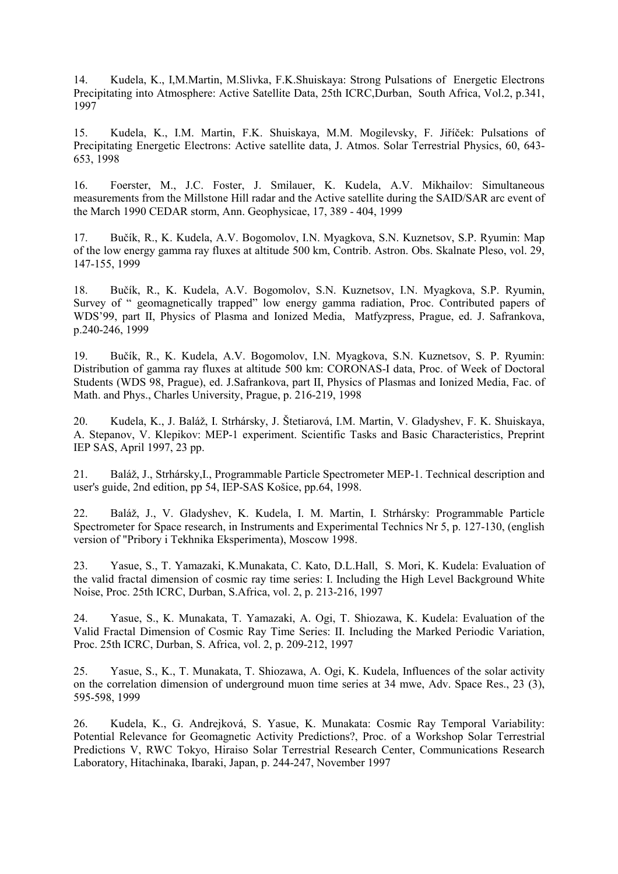14. Kudela, K., I,M.Martin, M.Slivka, F.K.Shuiskaya: Strong Pulsations of Energetic Electrons Precipitating into Atmosphere: Active Satellite Data, 25th ICRC,Durban, South Africa, Vol.2, p.341, 1997

15. Kudela, K., I.M. Martin, F.K. Shuiskaya, M.M. Mogilevsky, F. Jiříček: Pulsations of Precipitating Energetic Electrons: Active satellite data, J. Atmos. Solar Terrestrial Physics, 60, 643- 653, 1998

16. Foerster, M., J.C. Foster, J. Smilauer, K. Kudela, A.V. Mikhailov: Simultaneous measurements from the Millstone Hill radar and the Active satellite during the SAID/SAR arc event of the March 1990 CEDAR storm, Ann. Geophysicae, 17, 389 - 404, 1999

17. Bučík, R., K. Kudela, A.V. Bogomolov, I.N. Myagkova, S.N. Kuznetsov, S.P. Ryumin: Map of the low energy gamma ray fluxes at altitude 500 km, Contrib. Astron. Obs. Skalnate Pleso, vol. 29, 147-155, 1999

18. Bučík, R., K. Kudela, A.V. Bogomolov, S.N. Kuznetsov, I.N. Myagkova, S.P. Ryumin, Survey of " geomagnetically trapped" low energy gamma radiation, Proc. Contributed papers of WDS'99, part II, Physics of Plasma and Ionized Media, Matfyzpress, Prague, ed. J. Safrankova, p.240-246, 1999

19. Bučík, R., K. Kudela, A.V. Bogomolov, I.N. Myagkova, S.N. Kuznetsov, S. P. Ryumin: Distribution of gamma ray fluxes at altitude 500 km: CORONAS-I data, Proc. of Week of Doctoral Students (WDS 98, Prague), ed. J.Safrankova, part II, Physics of Plasmas and Ionized Media, Fac. of Math. and Phys., Charles University, Prague, p. 216-219, 1998

20. Kudela, K., J. Baláž, I. Strhársky, J. Štetiarová, I.M. Martin, V. Gladyshev, F. K. Shuiskaya, A. Stepanov, V. Klepikov: MEP-1 experiment. Scientific Tasks and Basic Characteristics, Preprint IEP SAS, April 1997, 23 pp.

21. Baláž, J., Strhársky,I., Programmable Particle Spectrometer MEP-1. Technical description and user's guide, 2nd edition, pp 54, IEP-SAS Košice, pp.64, 1998.

22. Baláž, J., V. Gladyshev, K. Kudela, I. M. Martin, I. Strhársky: Programmable Particle Spectrometer for Space research, in Instruments and Experimental Technics Nr 5, p. 127-130, (english version of "Pribory i Tekhnika Eksperimenta), Moscow 1998.

23. Yasue, S., T. Yamazaki, K.Munakata, C. Kato, D.L.Hall, S. Mori, K. Kudela: Evaluation of the valid fractal dimension of cosmic ray time series: I. Including the High Level Background White Noise, Proc. 25th ICRC, Durban, S.Africa, vol. 2, p. 213-216, 1997

24. Yasue, S., K. Munakata, T. Yamazaki, A. Ogi, T. Shiozawa, K. Kudela: Evaluation of the Valid Fractal Dimension of Cosmic Ray Time Series: II. Including the Marked Periodic Variation, Proc. 25th ICRC, Durban, S. Africa, vol. 2, p. 209-212, 1997

25. Yasue, S., K., T. Munakata, T. Shiozawa, A. Ogi, K. Kudela, Influences of the solar activity on the correlation dimension of underground muon time series at 34 mwe, Adv. Space Res., 23 (3), 595-598, 1999

26. Kudela, K., G. Andrejková, S. Yasue, K. Munakata: Cosmic Ray Temporal Variability: Potential Relevance for Geomagnetic Activity Predictions?, Proc. of a Workshop Solar Terrestrial Predictions V, RWC Tokyo, Hiraiso Solar Terrestrial Research Center, Communications Research Laboratory, Hitachinaka, Ibaraki, Japan, p. 244-247, November 1997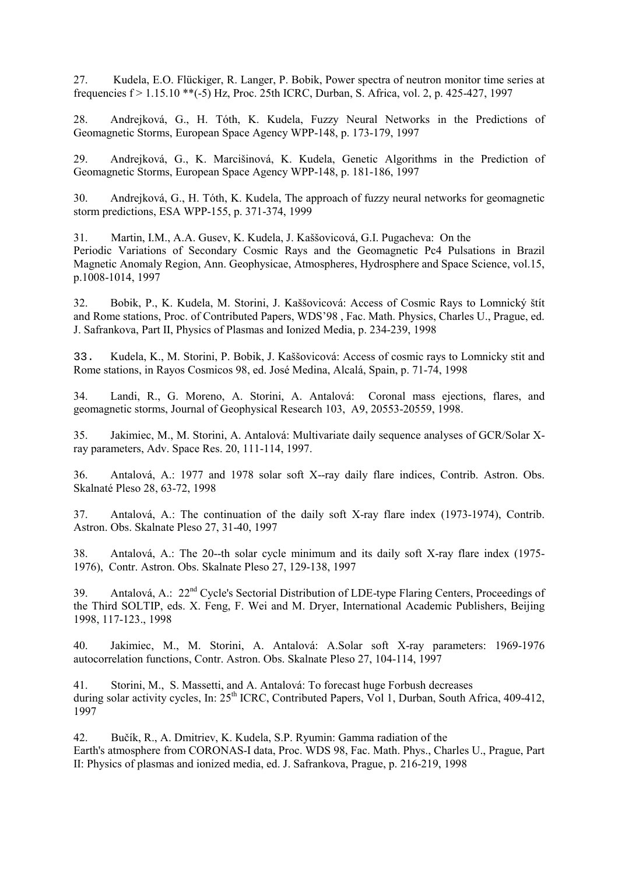27. Kudela, E.O. Flückiger, R. Langer, P. Bobik, Power spectra of neutron monitor time series at frequencies f > 1.15.10 \*\*(-5) Hz, Proc. 25th ICRC, Durban, S. Africa, vol. 2, p. 425-427, 1997

28. Andrejková, G., H. Tóth, K. Kudela, Fuzzy Neural Networks in the Predictions of Geomagnetic Storms, European Space Agency WPP-148, p. 173-179, 1997

29. Andrejková, G., K. Marcišinová, K. Kudela, Genetic Algorithms in the Prediction of Geomagnetic Storms, European Space Agency WPP-148, p. 181-186, 1997

30. Andrejková, G., H. Tóth, K. Kudela, The approach of fuzzy neural networks for geomagnetic storm predictions, ESA WPP-155, p. 371-374, 1999

31. Martin, I.M., A.A. Gusev, K. Kudela, J. Kaššovicová, G.I. Pugacheva: On the Periodic Variations of Secondary Cosmic Rays and the Geomagnetic Pc4 Pulsations in Brazil Magnetic Anomaly Region, Ann. Geophysicae, Atmospheres, Hydrosphere and Space Science, vol.15, p.1008-1014, 1997

32. Bobik, P., K. Kudela, M. Storini, J. Kaššovicová: Access of Cosmic Rays to Lomnický štít and Rome stations, Proc. of Contributed Papers, WDS'98 , Fac. Math. Physics, Charles U., Prague, ed. J. Safrankova, Part II, Physics of Plasmas and Ionized Media, p. 234-239, 1998

33. Kudela, K., M. Storini, P. Bobik, J. Kaššovicová: Access of cosmic rays to Lomnicky stit and Rome stations, in Rayos Cosmicos 98, ed. José Medina, Alcalá, Spain, p. 71-74, 1998

34. Landi, R., G. Moreno, A. Storini, A. Antalová: Coronal mass ejections, flares, and geomagnetic storms, Journal of Geophysical Research 103, A9, 20553-20559, 1998.

35. Jakimiec, M., M. Storini, A. Antalová: Multivariate daily sequence analyses of GCR/Solar Xray parameters, Adv. Space Res. 20, 111-114, 1997.

36. Antalová, A.: 1977 and 1978 solar soft X--ray daily flare indices, Contrib. Astron. Obs. Skalnaté Pleso 28, 63-72, 1998

37. Antalová, A.: The continuation of the daily soft X-ray flare index (1973-1974), Contrib. Astron. Obs. Skalnate Pleso 27, 31-40, 1997

38. Antalová, A.: The 20--th solar cycle minimum and its daily soft X-ray flare index (1975- 1976), Contr. Astron. Obs. Skalnate Pleso 27, 129-138, 1997

39. Antalová, A.: 22<sup>nd</sup> Cycle's Sectorial Distribution of LDE-type Flaring Centers, Proceedings of the Third SOLTIP, eds. X. Feng, F. Wei and M. Dryer, International Academic Publishers, Beijing 1998, 117-123., 1998

40. Jakimiec, M., M. Storini, A. Antalová: A.Solar soft X-ray parameters: 1969-1976 autocorrelation functions, Contr. Astron. Obs. Skalnate Pleso 27, 104-114, 1997

41. Storini, M., S. Massetti, and A. Antalová: To forecast huge Forbush decreases during solar activity cycles, In: 25<sup>th</sup> ICRC, Contributed Papers, Vol 1, Durban, South Africa, 409-412, 1997

42. Bučík, R., A. Dmitriev, K. Kudela, S.P. Ryumin: Gamma radiation of the Earth's atmosphere from CORONAS-I data, Proc. WDS 98, Fac. Math. Phys., Charles U., Prague, Part II: Physics of plasmas and ionized media, ed. J. Safrankova, Prague, p. 216-219, 1998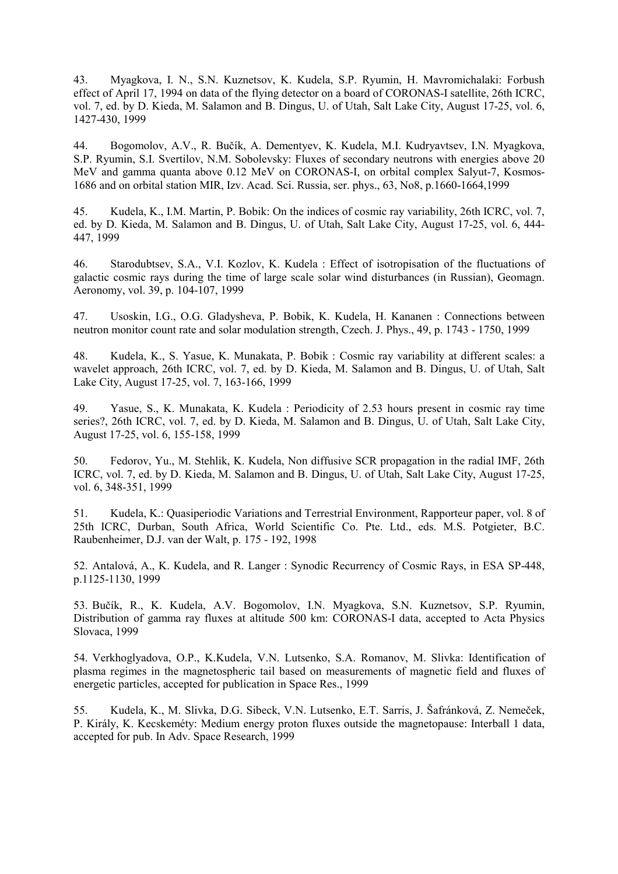43. Myagkova, I. N., S.N. Kuznetsov, K. Kudela, S.P. Ryumin, H. Mavromichalaki: Forbush effect of April 17, 1994 on data of the flying detector on a board of CORONAS-I satellite, 26th ICRC, vol. 7, ed. by D. Kieda, M. Salamon and B. Dingus, U. of Utah, Salt Lake City, August 17-25, vol. 6, 1427-430, 1999

44. Bogomolov, A.V., R. Bučík, A. Dementyev, K. Kudela, M.I. Kudryavtsev, I.N. Myagkova, S.P. Ryumin, S.I. Svertilov, N.M. Sobolevsky: Fluxes of secondary neutrons with energies above 20 MeV and gamma quanta above 0.12 MeV on CORONAS-I, on orbital complex Salyut-7, Kosmos-1686 and on orbital station MIR, Izv. Acad. Sci. Russia, ser. phys., 63, No8, p.1660-1664,1999

45. Kudela, K., I.M. Martin, P. Bobik: On the indices of cosmic ray variability, 26th ICRC, vol. 7, ed. by D. Kieda, M. Salamon and B. Dingus, U. of Utah, Salt Lake City, August 17-25, vol. 6, 444- 447, 1999

46. Starodubtsev, S.A., V.I. Kozlov, K. Kudela : Effect of isotropisation of the fluctuations of galactic cosmic rays during the time of large scale solar wind disturbances (in Russian), Geomagn. Aeronomy, vol. 39, p. 104-107, 1999

47. Usoskin, I.G., O.G. Gladysheva, P. Bobik, K. Kudela, H. Kananen : Connections between neutron monitor count rate and solar modulation strength, Czech. J. Phys., 49, p. 1743 - 1750, 1999

48. Kudela, K., S. Yasue, K. Munakata, P. Bobik : Cosmic ray variability at different scales: a wavelet approach, 26th ICRC, vol. 7, ed. by D. Kieda, M. Salamon and B. Dingus, U. of Utah, Salt Lake City, August 17-25, vol. 7, 163-166, 1999

49. Yasue, S., K. Munakata, K. Kudela : Periodicity of 2.53 hours present in cosmic ray time series?, 26th ICRC, vol. 7, ed. by D. Kieda, M. Salamon and B. Dingus, U. of Utah, Salt Lake City, August 17-25, vol. 6, 155-158, 1999

50. Fedorov, Yu., M. Stehlik, K. Kudela, Non diffusive SCR propagation in the radial IMF, 26th ICRC, vol. 7, ed. by D. Kieda, M. Salamon and B. Dingus, U. of Utah, Salt Lake City, August 17-25, vol. 6, 348-351, 1999

51. Kudela, K.: Quasiperiodic Variations and Terrestrial Environment, Rapporteur paper, vol. 8 of 25th ICRC, Durban, South Africa, World Scientific Co. Pte. Ltd., eds. M.S. Potgieter, B.C. Raubenheimer, D.J. van der Walt, p. 175 - 192, 1998

52. Antalová, A., K. Kudela, and R. Langer : Synodic Recurrency of Cosmic Rays, in ESA SP-448, p.1125-1130, 1999

53. Bučík, R., K. Kudela, A.V. Bogomolov, I.N. Myagkova, S.N. Kuznetsov, S.P. Ryumin, Distribution of gamma ray fluxes at altitude 500 km: CORONAS-I data, accepted to Acta Physics Slovaca, 1999

54. Verkhoglyadova, O.P., K.Kudela, V.N. Lutsenko, S.A. Romanov, M. Slivka: Identification of plasma regimes in the magnetospheric tail based on measurements of magnetic field and fluxes of energetic particles, accepted for publication in Space Res., 1999

55. Kudela, K., M. Slivka, D.G. Sibeck, V.N. Lutsenko, E.T. Sarris, J. Šafránková, Z. Nemeček, P. Király, K. Kecskeméty: Medium energy proton fluxes outside the magnetopause: Interball 1 data, accepted for pub. In Adv. Space Research, 1999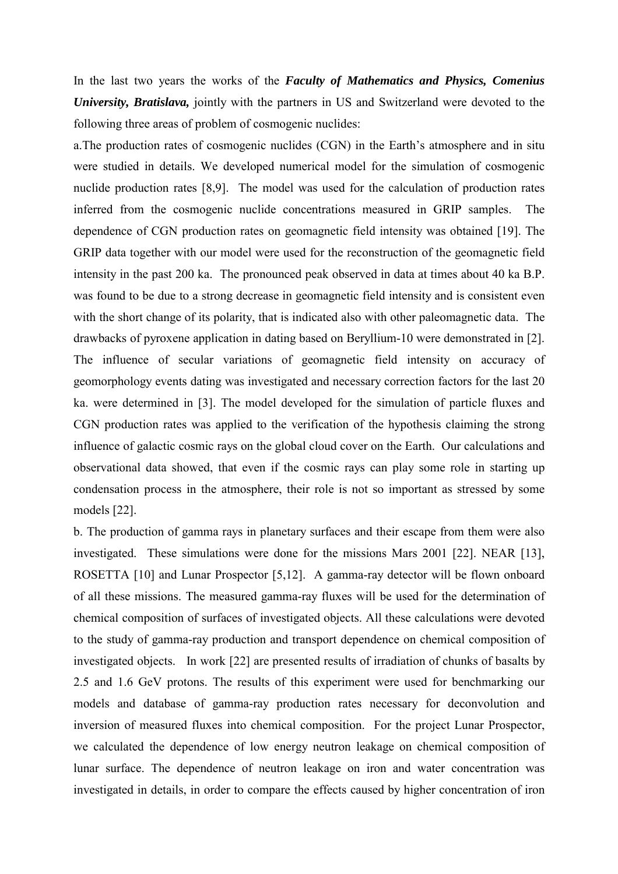In the last two years the works of the *Faculty of Mathematics and Physics, Comenius University, Bratislava,* jointly with the partners in US and Switzerland were devoted to the following three areas of problem of cosmogenic nuclides:

a.The production rates of cosmogenic nuclides (CGN) in the Earth's atmosphere and in situ were studied in details. We developed numerical model for the simulation of cosmogenic nuclide production rates [8,9]. The model was used for the calculation of production rates inferred from the cosmogenic nuclide concentrations measured in GRIP samples. The dependence of CGN production rates on geomagnetic field intensity was obtained [19]. The GRIP data together with our model were used for the reconstruction of the geomagnetic field intensity in the past 200 ka. The pronounced peak observed in data at times about 40 ka B.P. was found to be due to a strong decrease in geomagnetic field intensity and is consistent even with the short change of its polarity, that is indicated also with other paleomagnetic data. The drawbacks of pyroxene application in dating based on Beryllium-10 were demonstrated in [2]. The influence of secular variations of geomagnetic field intensity on accuracy of geomorphology events dating was investigated and necessary correction factors for the last 20 ka. were determined in [3]. The model developed for the simulation of particle fluxes and CGN production rates was applied to the verification of the hypothesis claiming the strong influence of galactic cosmic rays on the global cloud cover on the Earth. Our calculations and observational data showed, that even if the cosmic rays can play some role in starting up condensation process in the atmosphere, their role is not so important as stressed by some models [22].

b. The production of gamma rays in planetary surfaces and their escape from them were also investigated. These simulations were done for the missions Mars 2001 [22]. NEAR [13], ROSETTA [10] and Lunar Prospector [5,12]. A gamma-ray detector will be flown onboard of all these missions. The measured gamma-ray fluxes will be used for the determination of chemical composition of surfaces of investigated objects. All these calculations were devoted to the study of gamma-ray production and transport dependence on chemical composition of investigated objects. In work [22] are presented results of irradiation of chunks of basalts by 2.5 and 1.6 GeV protons. The results of this experiment were used for benchmarking our models and database of gamma-ray production rates necessary for deconvolution and inversion of measured fluxes into chemical composition. For the project Lunar Prospector, we calculated the dependence of low energy neutron leakage on chemical composition of lunar surface. The dependence of neutron leakage on iron and water concentration was investigated in details, in order to compare the effects caused by higher concentration of iron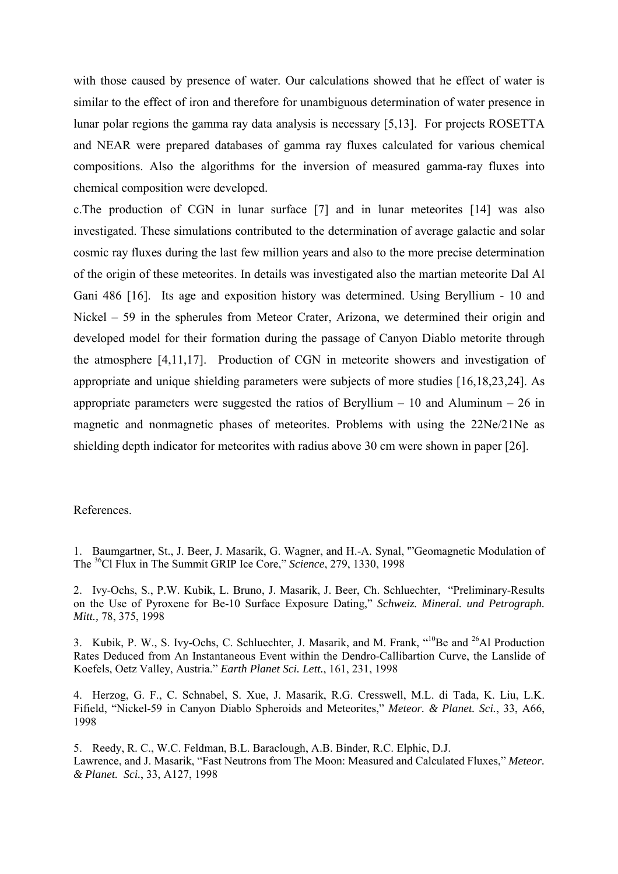with those caused by presence of water. Our calculations showed that he effect of water is similar to the effect of iron and therefore for unambiguous determination of water presence in lunar polar regions the gamma ray data analysis is necessary [5,13]. For projects ROSETTA and NEAR were prepared databases of gamma ray fluxes calculated for various chemical compositions. Also the algorithms for the inversion of measured gamma-ray fluxes into chemical composition were developed.

c.The production of CGN in lunar surface [7] and in lunar meteorites [14] was also investigated. These simulations contributed to the determination of average galactic and solar cosmic ray fluxes during the last few million years and also to the more precise determination of the origin of these meteorites. In details was investigated also the martian meteorite Dal Al Gani 486 [16]. Its age and exposition history was determined. Using Beryllium - 10 and Nickel – 59 in the spherules from Meteor Crater, Arizona, we determined their origin and developed model for their formation during the passage of Canyon Diablo metorite through the atmosphere [4,11,17]. Production of CGN in meteorite showers and investigation of appropriate and unique shielding parameters were subjects of more studies [16,18,23,24]. As appropriate parameters were suggested the ratios of Beryllium  $-10$  and Aluminum  $-26$  in magnetic and nonmagnetic phases of meteorites. Problems with using the 22Ne/21Ne as shielding depth indicator for meteorites with radius above 30 cm were shown in paper [26].

## References.

<sup>1.</sup> Baumgartner, St., J. Beer, J. Masarik, G. Wagner, and H.-A. Synal, '"Geomagnetic Modulation of The 36Cl Flux in The Summit GRIP Ice Core," *Science*, 279, 1330, 1998

<sup>2.</sup> Ivy-Ochs, S., P.W. Kubik, L. Bruno, J. Masarik, J. Beer, Ch. Schluechter, "Preliminary-Results on the Use of Pyroxene for Be-10 Surface Exposure Dating," *Schweiz. Mineral. und Petrograph. Mitt.,* 78, 375, 1998

<sup>3.</sup> Kubik, P. W., S. Ivy-Ochs, C. Schluechter, J. Masarik, and M. Frank, "<sup>10</sup>Be and <sup>26</sup>Al Production Rates Deduced from An Instantaneous Event within the Dendro-Callibartion Curve, the Lanslide of Koefels, Oetz Valley, Austria." *Earth Planet Sci. Lett.*, 161, 231, 1998

<sup>4.</sup> Herzog, G. F., C. Schnabel, S. Xue, J. Masarik, R.G. Cresswell, M.L. di Tada, K. Liu, L.K. Fifield, "Nickel-59 in Canyon Diablo Spheroids and Meteorites," *Meteor. & Planet. Sci.*, 33, A66, 1998

<sup>5.</sup> Reedy, R. C., W.C. Feldman, B.L. Baraclough, A.B. Binder, R.C. Elphic, D.J. Lawrence, and J. Masarik, "Fast Neutrons from The Moon: Measured and Calculated Fluxes," *Meteor. & Planet. Sci.*, 33, A127, 1998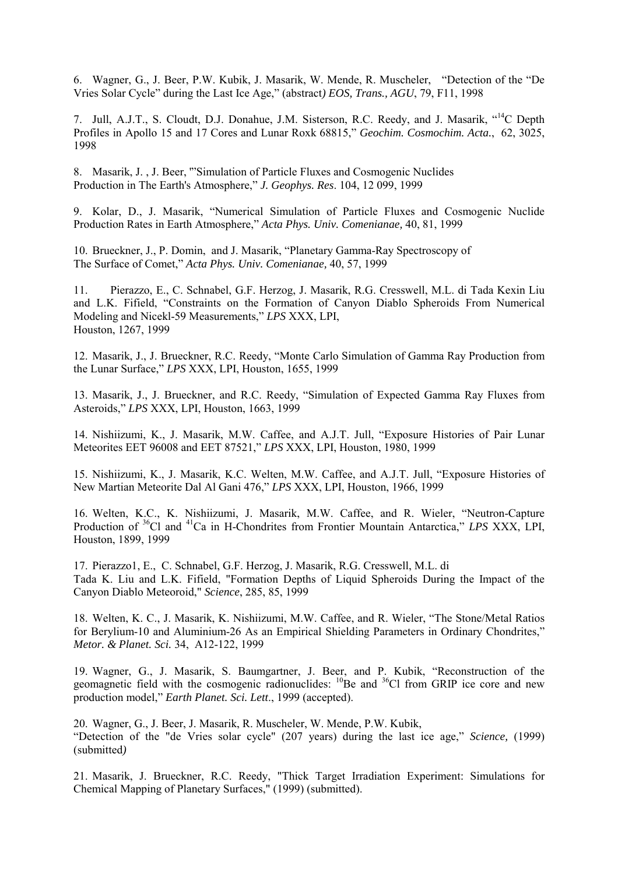6. Wagner, G., J. Beer, P.W. Kubik, J. Masarik, W. Mende, R. Muscheler, "Detection of the "De Vries Solar Cycle" during the Last Ice Age," (abstract*) EOS, Trans., AGU*, 79, F11, 1998

7. Jull, A.J.T., S. Cloudt, D.J. Donahue, J.M. Sisterson, R.C. Reedy, and J. Masarik, "14C Depth Profiles in Apollo 15 and 17 Cores and Lunar Roxk 68815," *Geochim. Cosmochim. Acta.*, 62, 3025, 1998

8. Masarik, J. , J. Beer, '"Simulation of Particle Fluxes and Cosmogenic Nuclides Production in The Earth's Atmosphere," *J. Geophys. Res*. 104, 12 099, 1999

9. Kolar, D., J. Masarik, "Numerical Simulation of Particle Fluxes and Cosmogenic Nuclide Production Rates in Earth Atmosphere," *Acta Phys. Univ. Comenianae,* 40, 81, 1999

10. Brueckner, J., P. Domin, and J. Masarik, "Planetary Gamma-Ray Spectroscopy of The Surface of Comet," *Acta Phys. Univ. Comenianae,* 40, 57, 1999

11. Pierazzo, E., C. Schnabel, G.F. Herzog, J. Masarik, R.G. Cresswell, M.L. di Tada Kexin Liu and L.K. Fifield, "Constraints on the Formation of Canyon Diablo Spheroids From Numerical Modeling and Nicekl-59 Measurements," *LPS* XXX, LPI, Houston, 1267, 1999

12. Masarik, J., J. Brueckner, R.C. Reedy, "Monte Carlo Simulation of Gamma Ray Production from the Lunar Surface," *LPS* XXX, LPI, Houston, 1655, 1999

13. Masarik, J., J. Brueckner, and R.C. Reedy, "Simulation of Expected Gamma Ray Fluxes from Asteroids," *LPS* XXX, LPI, Houston, 1663, 1999

14. Nishiizumi, K., J. Masarik, M.W. Caffee, and A.J.T. Jull, "Exposure Histories of Pair Lunar Meteorites EET 96008 and EET 87521," *LPS* XXX, LPI, Houston, 1980, 1999

15. Nishiizumi, K., J. Masarik, K.C. Welten, M.W. Caffee, and A.J.T. Jull, "Exposure Histories of New Martian Meteorite Dal Al Gani 476," *LPS* XXX, LPI, Houston, 1966, 1999

16. Welten, K.C., K. Nishiizumi, J. Masarik, M.W. Caffee, and R. Wieler, "Neutron-Capture Production of 36Cl and 41Ca in H-Chondrites from Frontier Mountain Antarctica," *LPS* XXX, LPI, Houston, 1899, 1999

17. Pierazzo1, E., C. Schnabel, G.F. Herzog, J. Masarik, R.G. Cresswell, M.L. di Tada K. Liu and L.K. Fifield, "Formation Depths of Liquid Spheroids During the Impact of the Canyon Diablo Meteoroid," *Science*, 285, 85, 1999

18. Welten, K. C., J. Masarik, K. Nishiizumi, M.W. Caffee, and R. Wieler, "The Stone/Metal Ratios for Berylium-10 and Aluminium-26 As an Empirical Shielding Parameters in Ordinary Chondrites," *Metor. & Planet. Sci.* 34, A12-122, 1999

19. Wagner, G., J. Masarik, S. Baumgartner, J. Beer, and P. Kubik, "Reconstruction of the geomagnetic field with the cosmogenic radionuclides:  $^{10}$ Be and  $^{36}$ Cl from GRIP ice core and new production model," *Earth Planet. Sci. Lett*., 1999 (accepted).

20. Wagner, G., J. Beer, J. Masarik, R. Muscheler, W. Mende, P.W. Kubik, "Detection of the "de Vries solar cycle" (207 years) during the last ice age," *Science,* (1999) (submitted*)* 

21. Masarik, J. Brueckner, R.C. Reedy, "Thick Target Irradiation Experiment: Simulations for Chemical Mapping of Planetary Surfaces," (1999) (submitted).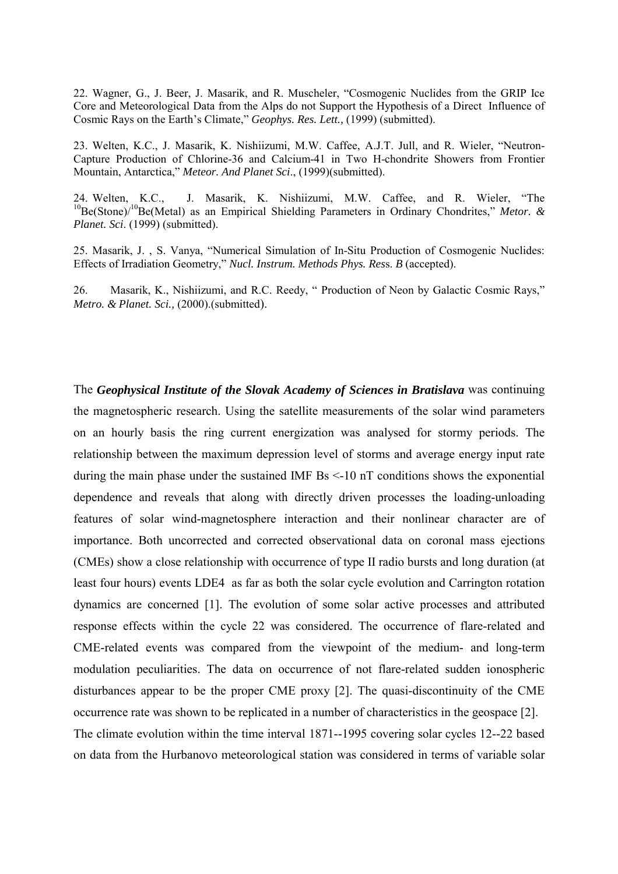22. Wagner, G., J. Beer, J. Masarik, and R. Muscheler, "Cosmogenic Nuclides from the GRIP Ice Core and Meteorological Data from the Alps do not Support the Hypothesis of a Direct Influence of Cosmic Rays on the Earth's Climate," *Geophys. Res. Lett.,* (1999) (submitted).

23. Welten, K.C., J. Masarik, K. Nishiizumi, M.W. Caffee, A.J.T. Jull, and R. Wieler, "Neutron-Capture Production of Chlorine-36 and Calcium-41 in Two H-chondrite Showers from Frontier Mountain, Antarctica," *Meteor. And Planet Sci*., (1999)(submitted).

24. Welten, K.C., J. Masarik, K. Nishiizumi, M.W. Caffee, and R. Wieler, "The <sup>10</sup>Be(Stone)<sup>/10</sup>Be(Metal) as an Empirical Shielding Parameters in Ordinary Chondrites," Metor. & *Planet. Sci*. (1999) (submitted).

25. Masarik, J. , S. Vanya, "Numerical Simulation of In-Situ Production of Cosmogenic Nuclides: Effects of Irradiation Geometry," *Nucl. Instrum. Methods Phys. Res*s. *B* (accepted).

26. Masarik, K., Nishiizumi, and R.C. Reedy, " Production of Neon by Galactic Cosmic Rays," *Metro. & Planet. Sci.,* (2000).(submitted).

The *Geophysical Institute of the Slovak Academy of Sciences in Bratislava* was continuing the magnetospheric research. Using the satellite measurements of the solar wind parameters on an hourly basis the ring current energization was analysed for stormy periods. The relationship between the maximum depression level of storms and average energy input rate during the main phase under the sustained IMF Bs <-10 nT conditions shows the exponential dependence and reveals that along with directly driven processes the loading-unloading features of solar wind-magnetosphere interaction and their nonlinear character are of importance. Both uncorrected and corrected observational data on coronal mass ejections (CMEs) show a close relationship with occurrence of type II radio bursts and long duration (at least four hours) events LDE4 as far as both the solar cycle evolution and Carrington rotation dynamics are concerned [1]. The evolution of some solar active processes and attributed response effects within the cycle 22 was considered. The occurrence of flare-related and CME-related events was compared from the viewpoint of the medium- and long-term modulation peculiarities. The data on occurrence of not flare-related sudden ionospheric disturbances appear to be the proper CME proxy [2]. The quasi-discontinuity of the CME occurrence rate was shown to be replicated in a number of characteristics in the geospace [2]. The climate evolution within the time interval 1871--1995 covering solar cycles 12--22 based on data from the Hurbanovo meteorological station was considered in terms of variable solar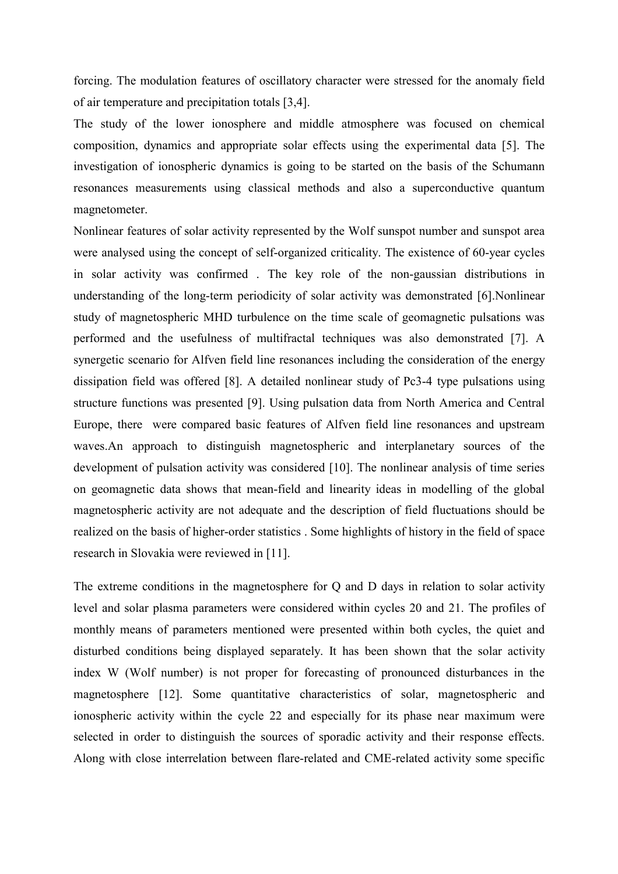forcing. The modulation features of oscillatory character were stressed for the anomaly field of air temperature and precipitation totals [3,4].

The study of the lower ionosphere and middle atmosphere was focused on chemical composition, dynamics and appropriate solar effects using the experimental data [5]. The investigation of ionospheric dynamics is going to be started on the basis of the Schumann resonances measurements using classical methods and also a superconductive quantum magnetometer.

Nonlinear features of solar activity represented by the Wolf sunspot number and sunspot area were analysed using the concept of self-organized criticality. The existence of 60-year cycles in solar activity was confirmed . The key role of the non-gaussian distributions in understanding of the long-term periodicity of solar activity was demonstrated [6].Nonlinear study of magnetospheric MHD turbulence on the time scale of geomagnetic pulsations was performed and the usefulness of multifractal techniques was also demonstrated [7]. A synergetic scenario for Alfven field line resonances including the consideration of the energy dissipation field was offered [8]. A detailed nonlinear study of Pc3-4 type pulsations using structure functions was presented [9]. Using pulsation data from North America and Central Europe, there were compared basic features of Alfven field line resonances and upstream waves.An approach to distinguish magnetospheric and interplanetary sources of the development of pulsation activity was considered [10]. The nonlinear analysis of time series on geomagnetic data shows that mean-field and linearity ideas in modelling of the global magnetospheric activity are not adequate and the description of field fluctuations should be realized on the basis of higher-order statistics . Some highlights of history in the field of space research in Slovakia were reviewed in [11].

The extreme conditions in the magnetosphere for Q and D days in relation to solar activity level and solar plasma parameters were considered within cycles 20 and 21. The profiles of monthly means of parameters mentioned were presented within both cycles, the quiet and disturbed conditions being displayed separately. It has been shown that the solar activity index W (Wolf number) is not proper for forecasting of pronounced disturbances in the magnetosphere [12]. Some quantitative characteristics of solar, magnetospheric and ionospheric activity within the cycle 22 and especially for its phase near maximum were selected in order to distinguish the sources of sporadic activity and their response effects. Along with close interrelation between flare-related and CME-related activity some specific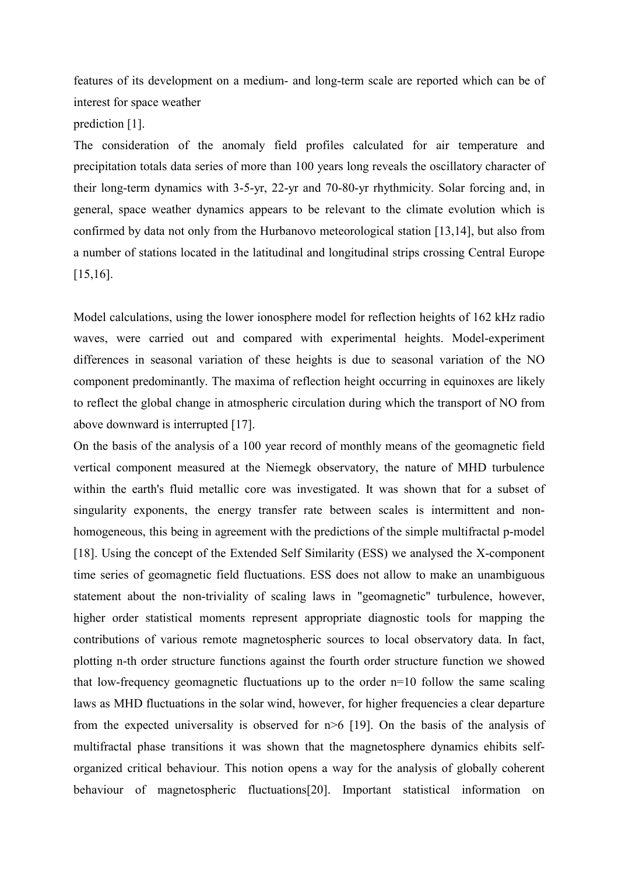features of its development on a medium- and long-term scale are reported which can be of interest for space weather prediction [1].

The consideration of the anomaly field profiles calculated for air temperature and precipitation totals data series of more than 100 years long reveals the oscillatory character of their long-term dynamics with 3-5-yr, 22-yr and 70-80-yr rhythmicity. Solar forcing and, in general, space weather dynamics appears to be relevant to the climate evolution which is confirmed by data not only from the Hurbanovo meteorological station [13,14], but also from a number of stations located in the latitudinal and longitudinal strips crossing Central Europe [15,16].

Model calculations, using the lower ionosphere model for reflection heights of 162 kHz radio waves, were carried out and compared with experimental heights. Model-experiment differences in seasonal variation of these heights is due to seasonal variation of the NO component predominantly. The maxima of reflection height occurring in equinoxes are likely to reflect the global change in atmospheric circulation during which the transport of NO from above downward is interrupted [17].

On the basis of the analysis of a 100 year record of monthly means of the geomagnetic field vertical component measured at the Niemegk observatory, the nature of MHD turbulence within the earth's fluid metallic core was investigated. It was shown that for a subset of singularity exponents, the energy transfer rate between scales is intermittent and nonhomogeneous, this being in agreement with the predictions of the simple multifractal p-model [18]. Using the concept of the Extended Self Similarity (ESS) we analysed the X-component time series of geomagnetic field fluctuations. ESS does not allow to make an unambiguous statement about the non-triviality of scaling laws in "geomagnetic" turbulence, however, higher order statistical moments represent appropriate diagnostic tools for mapping the contributions of various remote magnetospheric sources to local observatory data. In fact, plotting n-th order structure functions against the fourth order structure function we showed that low-frequency geomagnetic fluctuations up to the order n=10 follow the same scaling laws as MHD fluctuations in the solar wind, however, for higher frequencies a clear departure from the expected universality is observed for n>6 [19]. On the basis of the analysis of multifractal phase transitions it was shown that the magnetosphere dynamics ehibits selforganized critical behaviour. This notion opens a way for the analysis of globally coherent behaviour of magnetospheric fluctuations[20]. Important statistical information on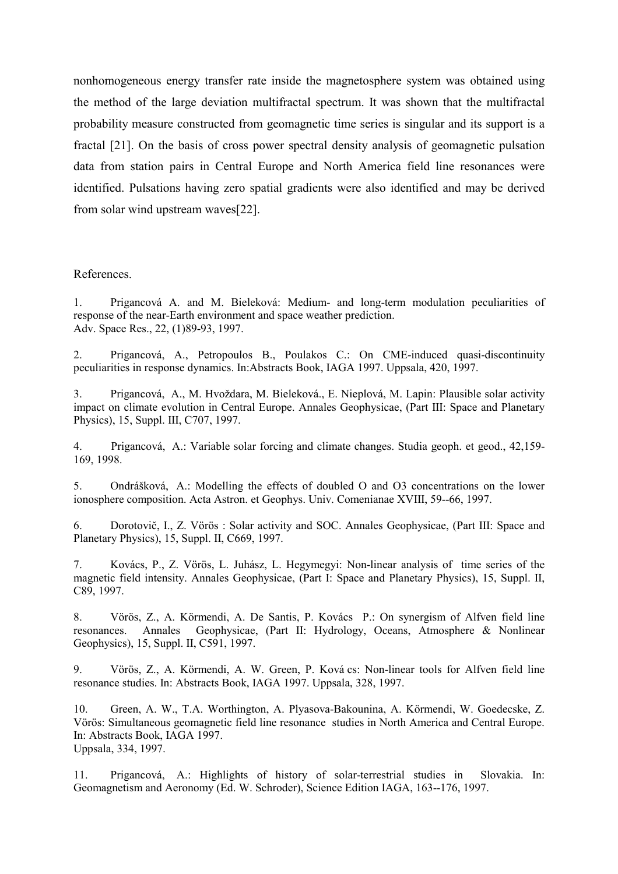nonhomogeneous energy transfer rate inside the magnetosphere system was obtained using the method of the large deviation multifractal spectrum. It was shown that the multifractal probability measure constructed from geomagnetic time series is singular and its support is a fractal [21]. On the basis of cross power spectral density analysis of geomagnetic pulsation data from station pairs in Central Europe and North America field line resonances were identified. Pulsations having zero spatial gradients were also identified and may be derived from solar wind upstream waves[22].

## References.

1. Prigancová A. and M. Bieleková: Medium- and long-term modulation peculiarities of response of the near-Earth environment and space weather prediction. Adv. Space Res., 22, (1)89-93, 1997.

2. Prigancová, A., Petropoulos B., Poulakos C.: On CME-induced quasi-discontinuity peculiarities in response dynamics. In:Abstracts Book, IAGA 1997. Uppsala, 420, 1997.

3. Prigancová, A., M. Hvoždara, M. Bieleková., E. Nieplová, M. Lapin: Plausible solar activity impact on climate evolution in Central Europe. Annales Geophysicae, (Part III: Space and Planetary Physics), 15, Suppl. III, C707, 1997.

4. Prigancová, A.: Variable solar forcing and climate changes. Studia geoph. et geod., 42,159- 169, 1998.

5. Ondrášková, A.: Modelling the effects of doubled O and O3 concentrations on the lower ionosphere composition. Acta Astron. et Geophys. Univ. Comenianae XVIII, 59--66, 1997.

6. Dorotovič, I., Z. Vörös : Solar activity and SOC. Annales Geophysicae, (Part III: Space and Planetary Physics), 15, Suppl. II, C669, 1997.

7. Kovács, P., Z. Vörös, L. Juhász, L. Hegymegyi: Non-linear analysis of time series of the magnetic field intensity. Annales Geophysicae, (Part I: Space and Planetary Physics), 15, Suppl. II, C89, 1997.

8. Vörös, Z., A. Körmendi, A. De Santis, P. Kovács P.: On synergism of Alfven field line resonances. Annales Geophysicae, (Part II: Hydrology, Oceans, Atmosphere & Nonlinear Geophysics), 15, Suppl. II, C591, 1997.

9. Vörös, Z., A. Körmendi, A. W. Green, P. Ková cs: Non-linear tools for Alfven field line resonance studies. In: Abstracts Book, IAGA 1997. Uppsala, 328, 1997.

10. Green, A. W., T.A. Worthington, A. Plyasova-Bakounina, A. Körmendi, W. Goedecske, Z. Vörös: Simultaneous geomagnetic field line resonance studies in North America and Central Europe. In: Abstracts Book, IAGA 1997. Uppsala, 334, 1997.

11. Prigancová, A.: Highlights of history of solar-terrestrial studies in Slovakia. In: Geomagnetism and Aeronomy (Ed. W. Schroder), Science Edition IAGA, 163--176, 1997.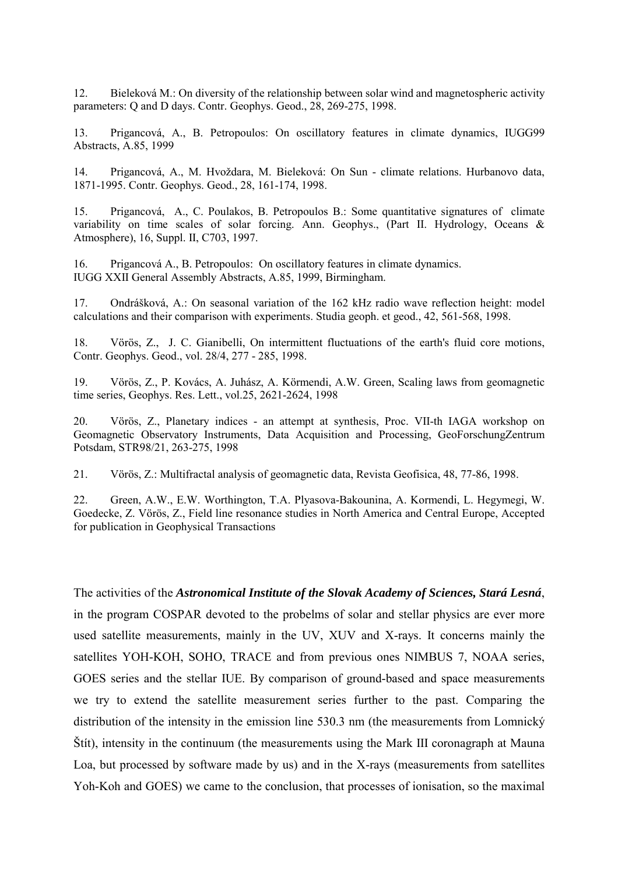12. Bieleková M.: On diversity of the relationship between solar wind and magnetospheric activity parameters: Q and D days. Contr. Geophys. Geod., 28, 269-275, 1998.

13. Prigancová, A., B. Petropoulos: On oscillatory features in climate dynamics, IUGG99 Abstracts, A.85, 1999

14. Prigancová, A., M. Hvoždara, M. Bieleková: On Sun - climate relations. Hurbanovo data, 1871-1995. Contr. Geophys. Geod., 28, 161-174, 1998.

15. Prigancová, A., C. Poulakos, B. Petropoulos B.: Some quantitative signatures of climate variability on time scales of solar forcing. Ann. Geophys., (Part II. Hydrology, Oceans & Atmosphere), 16, Suppl. II, C703, 1997.

16. Prigancová A., B. Petropoulos: On oscillatory features in climate dynamics. IUGG XXII General Assembly Abstracts, A.85, 1999, Birmingham.

17. Ondrášková, A.: On seasonal variation of the 162 kHz radio wave reflection height: model calculations and their comparison with experiments. Studia geoph. et geod., 42, 561-568, 1998.

18. Vörös, Z., J. C. Gianibelli, On intermittent fluctuations of the earth's fluid core motions, Contr. Geophys. Geod., vol. 28/4, 277 - 285, 1998.

19. Vörös, Z., P. Kovács, A. Juhász, A. Körmendi, A.W. Green, Scaling laws from geomagnetic time series, Geophys. Res. Lett., vol.25, 2621-2624, 1998

20. Vörös, Z., Planetary indices - an attempt at synthesis, Proc. VII-th IAGA workshop on Geomagnetic Observatory Instruments, Data Acquisition and Processing, GeoForschungZentrum Potsdam, STR98/21, 263-275, 1998

21. Vörös, Z.: Multifractal analysis of geomagnetic data, Revista Geofisica, 48, 77-86, 1998.

22. Green, A.W., E.W. Worthington, T.A. Plyasova-Bakounina, A. Kormendi, L. Hegymegi, W. Goedecke, Z. Vörös, Z., Field line resonance studies in North America and Central Europe, Accepted for publication in Geophysical Transactions

The activities of the *Astronomical Institute of the Slovak Academy of Sciences, Stará Lesná*, in the program COSPAR devoted to the probelms of solar and stellar physics are ever more used satellite measurements, mainly in the UV, XUV and X-rays. It concerns mainly the satellites YOH-KOH, SOHO, TRACE and from previous ones NIMBUS 7, NOAA series, GOES series and the stellar IUE. By comparison of ground-based and space measurements we try to extend the satellite measurement series further to the past. Comparing the distribution of the intensity in the emission line 530.3 nm (the measurements from Lomnický Štít), intensity in the continuum (the measurements using the Mark III coronagraph at Mauna Loa, but processed by software made by us) and in the X-rays (measurements from satellites Yoh-Koh and GOES) we came to the conclusion, that processes of ionisation, so the maximal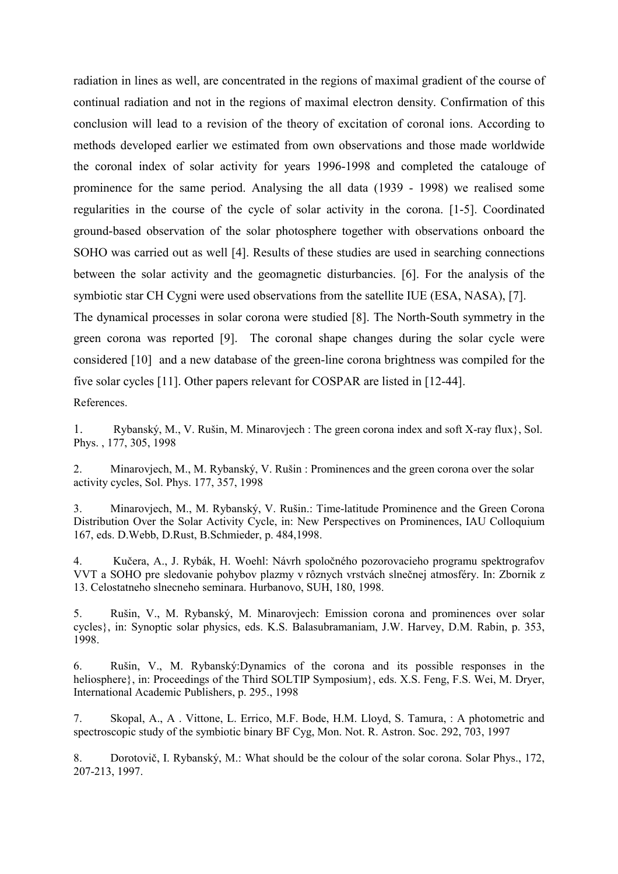radiation in lines as well, are concentrated in the regions of maximal gradient of the course of continual radiation and not in the regions of maximal electron density. Confirmation of this conclusion will lead to a revision of the theory of excitation of coronal ions. According to methods developed earlier we estimated from own observations and those made worldwide the coronal index of solar activity for years 1996-1998 and completed the catalouge of prominence for the same period. Analysing the all data (1939 - 1998) we realised some regularities in the course of the cycle of solar activity in the corona. [1-5]. Coordinated ground-based observation of the solar photosphere together with observations onboard the SOHO was carried out as well [4]. Results of these studies are used in searching connections between the solar activity and the geomagnetic disturbancies. [6]. For the analysis of the symbiotic star CH Cygni were used observations from the satellite IUE (ESA, NASA), [7].

The dynamical processes in solar corona were studied [8]. The North-South symmetry in the green corona was reported [9]. The coronal shape changes during the solar cycle were considered [10] and a new database of the green-line corona brightness was compiled for the five solar cycles [11]. Other papers relevant for COSPAR are listed in [12-44].

References.

1. Rybanský, M., V. Rušin, M. Minarovjech : The green corona index and soft X-ray flux}, Sol. Phys. , 177, 305, 1998

2. Minarovjech, M., M. Rybanský, V. Rušin : Prominences and the green corona over the solar activity cycles, Sol. Phys. 177, 357, 1998

3. Minarovjech, M., M. Rybanský, V. Rušin.: Time-latitude Prominence and the Green Corona Distribution Over the Solar Activity Cycle, in: New Perspectives on Prominences, IAU Colloquium 167, eds. D.Webb, D.Rust, B.Schmieder, p. 484,1998.

4. Kučera, A., J. Rybák, H. Woehl: Návrh spoločného pozorovacieho programu spektrografov VVT a SOHO pre sledovanie pohybov plazmy v rôznych vrstvách slnečnej atmosféry. In: Zbornik z 13. Celostatneho slnecneho seminara. Hurbanovo, SUH, 180, 1998.

5. Rušin, V., M. Rybanský, M. Minarovjech: Emission corona and prominences over solar cycles}, in: Synoptic solar physics, eds. K.S. Balasubramaniam, J.W. Harvey, D.M. Rabin, p. 353, 1998.

6. Rušin, V., M. Rybanský:Dynamics of the corona and its possible responses in the heliosphere}, in: Proceedings of the Third SOLTIP Symposium}, eds. X.S. Feng, F.S. Wei, M. Dryer, International Academic Publishers, p. 295., 1998

7. Skopal, A., A . Vittone, L. Errico, M.F. Bode, H.M. Lloyd, S. Tamura, : A photometric and spectroscopic study of the symbiotic binary BF Cyg, Mon. Not. R. Astron. Soc. 292, 703, 1997

8. Dorotovič, I. Rybanský, M.: What should be the colour of the solar corona. Solar Phys., 172, 207-213, 1997.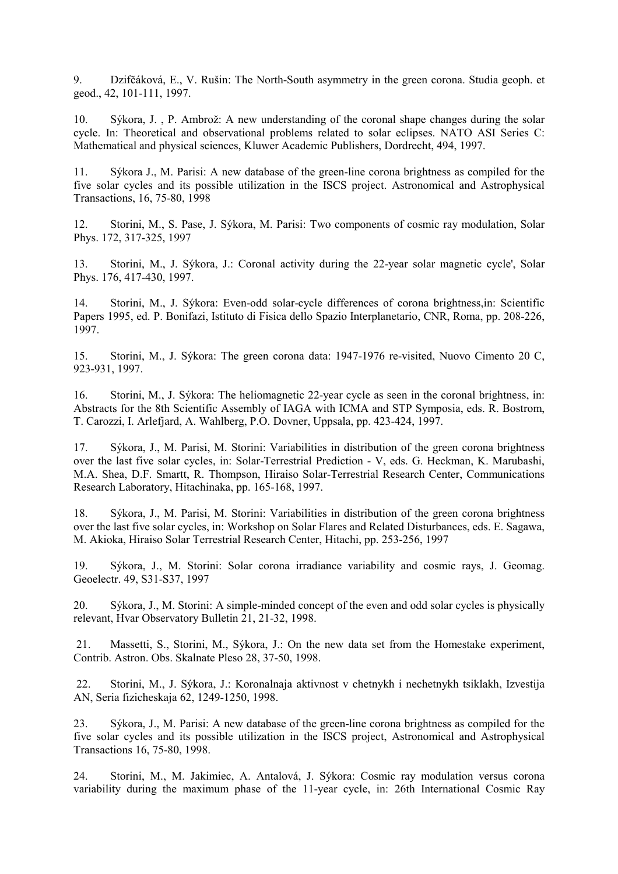9. Dzifčáková, E., V. Rušin: The North-South asymmetry in the green corona. Studia geoph. et geod., 42, 101-111, 1997.

10. Sýkora, J. , P. Ambrož: A new understanding of the coronal shape changes during the solar cycle. In: Theoretical and observational problems related to solar eclipses. NATO ASI Series C: Mathematical and physical sciences, Kluwer Academic Publishers, Dordrecht, 494, 1997.

11. Sýkora J., M. Parisi: A new database of the green-line corona brightness as compiled for the five solar cycles and its possible utilization in the ISCS project. Astronomical and Astrophysical Transactions, 16, 75-80, 1998

12. Storini, M., S. Pase, J. Sýkora, M. Parisi: Two components of cosmic ray modulation, Solar Phys. 172, 317-325, 1997

13. Storini, M., J. Sýkora, J.: Coronal activity during the 22-year solar magnetic cycle', Solar Phys. 176, 417-430, 1997.

14. Storini, M., J. Sýkora: Even-odd solar-cycle differences of corona brightness,in: Scientific Papers 1995, ed. P. Bonifazi, Istituto di Fisica dello Spazio Interplanetario, CNR, Roma, pp. 208-226, 1997.

15. Storini, M., J. Sýkora: The green corona data: 1947-1976 re-visited, Nuovo Cimento 20 C, 923-931, 1997.

16. Storini, M., J. Sýkora: The heliomagnetic 22-year cycle as seen in the coronal brightness, in: Abstracts for the 8th Scientific Assembly of IAGA with ICMA and STP Symposia, eds. R. Bostrom, T. Carozzi, I. Arlefjard, A. Wahlberg, P.O. Dovner, Uppsala, pp. 423-424, 1997.

17. Sýkora, J., M. Parisi, M. Storini: Variabilities in distribution of the green corona brightness over the last five solar cycles, in: Solar-Terrestrial Prediction - V, eds. G. Heckman, K. Marubashi, M.A. Shea, D.F. Smartt, R. Thompson, Hiraiso Solar-Terrestrial Research Center, Communications Research Laboratory, Hitachinaka, pp. 165-168, 1997.

18. Sýkora, J., M. Parisi, M. Storini: Variabilities in distribution of the green corona brightness over the last five solar cycles, in: Workshop on Solar Flares and Related Disturbances, eds. E. Sagawa, M. Akioka, Hiraiso Solar Terrestrial Research Center, Hitachi, pp. 253-256, 1997

19. Sýkora, J., M. Storini: Solar corona irradiance variability and cosmic rays, J. Geomag. Geoelectr. 49, S31-S37, 1997

20. Sýkora, J., M. Storini: A simple-minded concept of the even and odd solar cycles is physically relevant, Hvar Observatory Bulletin 21, 21-32, 1998.

 21. Massetti, S., Storini, M., Sýkora, J.: On the new data set from the Homestake experiment, Contrib. Astron. Obs. Skalnate Pleso 28, 37-50, 1998.

 22. Storini, M., J. Sýkora, J.: Koronalnaja aktivnost v chetnykh i nechetnykh tsiklakh, Izvestija AN, Seria fizicheskaja 62, 1249-1250, 1998.

23. Sýkora, J., M. Parisi: A new database of the green-line corona brightness as compiled for the five solar cycles and its possible utilization in the ISCS project, Astronomical and Astrophysical Transactions 16, 75-80, 1998.

24. Storini, M., M. Jakimiec, A. Antalová, J. Sýkora: Cosmic ray modulation versus corona variability during the maximum phase of the 11-year cycle, in: 26th International Cosmic Ray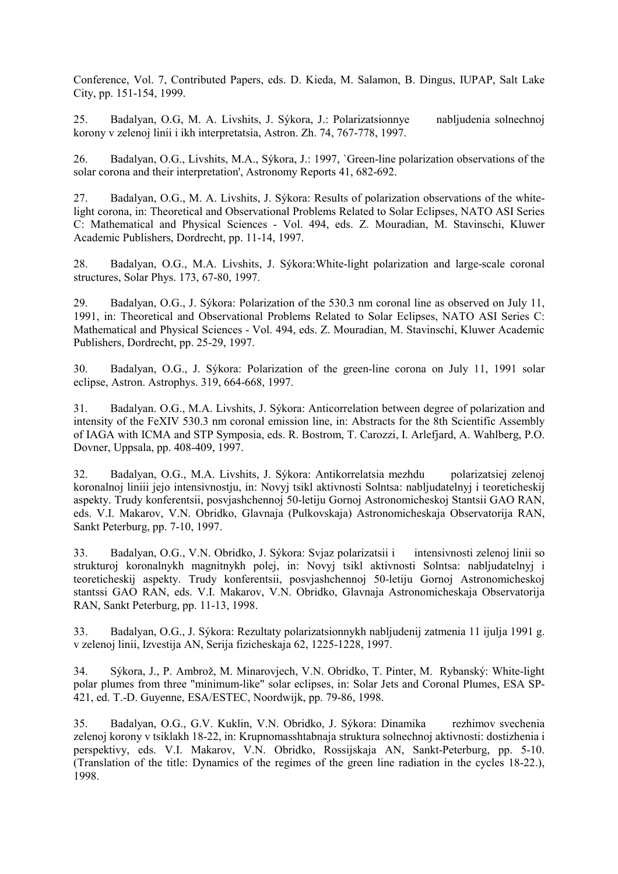Conference, Vol. 7, Contributed Papers, eds. D. Kieda, M. Salamon, B. Dingus, IUPAP, Salt Lake City, pp. 151-154, 1999.

25. Badalyan, O.G, M. A. Livshits, J. Sýkora, J.: Polarizatsionnye nabljudenia solnechnoj korony v zelenoj linii i ikh interpretatsia, Astron. Zh. 74, 767-778, 1997.

26. Badalyan, O.G., Livshits, M.A., Sýkora, J.: 1997, `Green-line polarization observations of the solar corona and their interpretation', Astronomy Reports 41, 682-692.

27. Badalyan, O.G., M. A. Livshits, J. Sýkora: Results of polarization observations of the whitelight corona, in: Theoretical and Observational Problems Related to Solar Eclipses, NATO ASI Series C: Mathematical and Physical Sciences - Vol. 494, eds. Z. Mouradian, M. Stavinschi, Kluwer Academic Publishers, Dordrecht, pp. 11-14, 1997.

28. Badalyan, O.G., M.A. Livshits, J. Sýkora:White-light polarization and large-scale coronal structures, Solar Phys. 173, 67-80, 1997.

29. Badalyan, O.G., J. Sýkora: Polarization of the 530.3 nm coronal line as observed on July 11, 1991, in: Theoretical and Observational Problems Related to Solar Eclipses, NATO ASI Series C: Mathematical and Physical Sciences - Vol. 494, eds. Z. Mouradian, M. Stavinschi, Kluwer Academic Publishers, Dordrecht, pp. 25-29, 1997.

30. Badalyan, O.G., J. Sýkora: Polarization of the green-line corona on July 11, 1991 solar eclipse, Astron. Astrophys. 319, 664-668, 1997.

31. Badalyan. O.G., M.A. Livshits, J. Sýkora: Anticorrelation between degree of polarization and intensity of the FeXIV 530.3 nm coronal emission line, in: Abstracts for the 8th Scientific Assembly of IAGA with ICMA and STP Symposia, eds. R. Bostrom, T. Carozzi, I. Arlefjard, A. Wahlberg, P.O. Dovner, Uppsala, pp. 408-409, 1997.

32. Badalyan, O.G., M.A. Livshits, J. Sýkora: Antikorrelatsia mezhdu polarizatsiej zelenoj koronalnoj liniii jejo intensivnostju, in: Novyj tsikl aktivnosti Solntsa: nabljudatelnyj i teoreticheskij aspekty. Trudy konferentsii, posvjashchennoj 50-letiju Gornoj Astronomicheskoj Stantsii GAO RAN, eds. V.I. Makarov, V.N. Obridko, Glavnaja (Pulkovskaja) Astronomicheskaja Observatorija RAN, Sankt Peterburg, pp. 7-10, 1997.

33. Badalyan, O.G., V.N. Obridko, J. Sýkora: Svjaz polarizatsii i intensivnosti zelenoj linii so strukturoj koronalnykh magnitnykh polej, in: Novyj tsikl aktivnosti Solntsa: nabljudatelnyj i teoreticheskij aspekty. Trudy konferentsii, posvjashchennoj 50-letiju Gornoj Astronomicheskoj stantssi GAO RAN, eds. V.I. Makarov, V.N. Obridko, Glavnaja Astronomicheskaja Observatorija RAN, Sankt Peterburg, pp. 11-13, 1998.

33. Badalyan, O.G., J. Sýkora: Rezultaty polarizatsionnykh nabljudenij zatmenia 11 ijulja 1991 g. v zelenoj linii, Izvestija AN, Serija fizicheskaja 62, 1225-1228, 1997.

34. Sýkora, J., P. Ambrož, M. Minarovjech, V.N. Obridko, T. Pinter, M. Rybanský: White-light polar plumes from three "minimum-like" solar eclipses, in: Solar Jets and Coronal Plumes, ESA SP-421, ed. T.-D. Guyenne, ESA/ESTEC, Noordwijk, pp. 79-86, 1998.

35. Badalyan, O.G., G.V. Kuklin, V.N. Obridko, J. Sýkora: Dinamika rezhimov svechenia zelenoj korony v tsiklakh 18-22, in: Krupnomasshtabnaja struktura solnechnoj aktivnosti: dostizhenia i perspektivy, eds. V.I. Makarov, V.N. Obridko, Rossijskaja AN, Sankt-Peterburg, pp. 5-10. (Translation of the title: Dynamics of the regimes of the green line radiation in the cycles 18-22.), 1998.